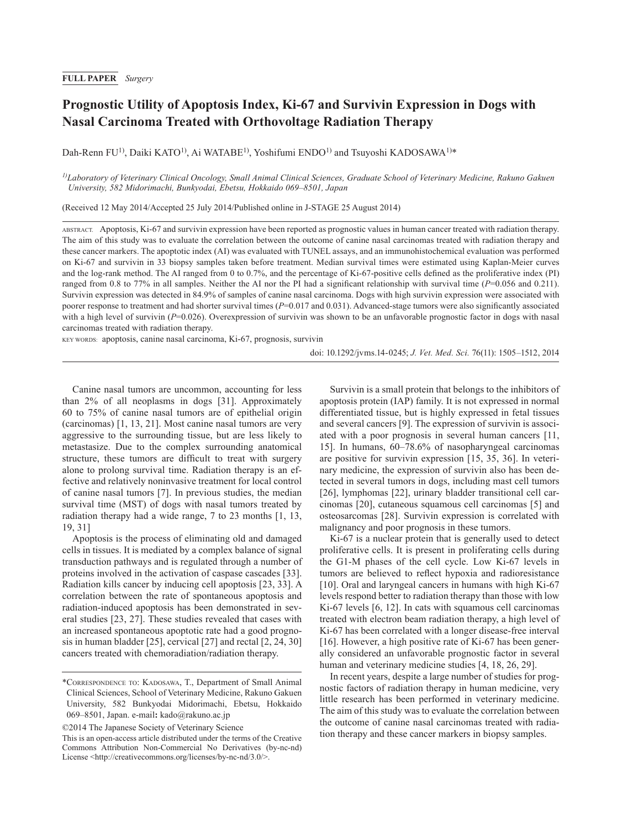## **FULL PAPER** *Surgery*

# **Prognostic Utility of Apoptosis Index, Ki-67 and Survivin Expression in Dogs with Nasal Carcinoma Treated with Orthovoltage Radiation Therapy**

Dah-Renn FU<sup>1)</sup>, Daiki KATO<sup>1)</sup>, Ai WATABE<sup>1)</sup>, Yoshifumi ENDO<sup>1)</sup> and Tsuyoshi KADOSAWA<sup>1)\*</sup>

*1)Laboratory of Veterinary Clinical Oncology, Small Animal Clinical Sciences, Graduate School of Veterinary Medicine, Rakuno Gakuen University, 582 Midorimachi, Bunkyodai, Ebetsu, Hokkaido 069–8501, Japan*

(Received 12 May 2014/Accepted 25 July 2014/Published online in J-STAGE 25 August 2014)

ABSTRACT. Apoptosis, Ki-67 and survivin expression have been reported as prognostic values in human cancer treated with radiation therapy. The aim of this study was to evaluate the correlation between the outcome of canine nasal carcinomas treated with radiation therapy and these cancer markers. The apoptotic index (AI) was evaluated with TUNEL assays, and an immunohistochemical evaluation was performed on Ki-67 and survivin in 33 biopsy samples taken before treatment. Median survival times were estimated using Kaplan-Meier curves and the log-rank method. The AI ranged from 0 to 0.7%, and the percentage of Ki-67-positive cells defined as the proliferative index (PI) ranged from 0.8 to 77% in all samples. Neither the AI nor the PI had a significant relationship with survival time  $(P=0.056$  and 0.211). Survivin expression was detected in 84.9% of samples of canine nasal carcinoma. Dogs with high survivin expression were associated with poorer response to treatment and had shorter survival times ( $P=0.017$  and 0.031). Advanced-stage tumors were also significantly associated with a high level of survivin (*P*=0.026). Overexpression of survivin was shown to be an unfavorable prognostic factor in dogs with nasal carcinomas treated with radiation therapy.

KEY WORDS: apoptosis, canine nasal carcinoma, Ki-67, prognosis, survivin

doi: 10.1292/jvms.14-0245; *J. Vet. Med. Sci.* 76(11): 1505–1512, 2014

Canine nasal tumors are uncommon, accounting for less than 2% of all neoplasms in dogs [[31](#page-7-0)]. Approximately 60 to 75% of canine nasal tumors are of epithelial origin (carcinomas) [\[1, 13, 21\]](#page-6-0). Most canine nasal tumors are very aggressive to the surrounding tissue, but are less likely to metastasize. Due to the complex surrounding anatomical structure, these tumors are difficult to treat with surgery alone to prolong survival time. Radiation therapy is an effective and relatively noninvasive treatment for local control of canine nasal tumors [[7\]](#page-6-1). In previous studies, the median survival time (MST) of dogs with nasal tumors treated by radiation therapy had a wide range, 7 to 23 months [[1, 13,](#page-6-0) [19, 31](#page-6-0)]

Apoptosis is the process of eliminating old and damaged cells in tissues. It is mediated by a complex balance of signal transduction pathways and is regulated through a number of proteins involved in the activation of caspase cascades [\[33\]](#page-7-1). Radiation kills cancer by inducing cell apoptosis [\[23, 33](#page-7-2)]. A correlation between the rate of spontaneous apoptosis and radiation-induced apoptosis has been demonstrated in several studies [\[23, 27\]](#page-7-2). These studies revealed that cases with an increased spontaneous apoptotic rate had a good prognosis in human bladder [\[25\]](#page-7-3), cervical [[27](#page-7-4)] and rectal [\[2, 24, 30\]](#page-6-2) cancers treated with chemoradiation/radiation therapy.

Survivin is a small protein that belongs to the inhibitors of apoptosis protein (IAP) family. It is not expressed in normal differentiated tissue, but is highly expressed in fetal tissues and several cancers [\[9\]](#page-6-3). The expression of survivin is associated with a poor prognosis in several human cancers [\[11,](#page-6-4)  [15\]](#page-6-4). In humans, 60–78.6% of nasopharyngeal carcinomas are positive for survivin expression [[15, 35, 36\]](#page-7-5). In veterinary medicine, the expression of survivin also has been detected in several tumors in dogs, including mast cell tumors [\[26\]](#page-7-6), lymphomas [\[22\]](#page-7-7), urinary bladder transitional cell carcinomas [\[20\]](#page-7-8), cutaneous squamous cell carcinomas [\[5\]](#page-6-5) and osteosarcomas [\[28\]](#page-7-9). Survivin expression is correlated with malignancy and poor prognosis in these tumors.

Ki-67 is a nuclear protein that is generally used to detect proliferative cells. It is present in proliferating cells during the G1-M phases of the cell cycle. Low Ki-67 levels in tumors are believed to reflect hypoxia and radioresistance [\[10\]](#page-6-6). Oral and laryngeal cancers in humans with high Ki-67 levels respond better to radiation therapy than those with low Ki-67 levels [\[6, 12\]](#page-6-7). In cats with squamous cell carcinomas treated with electron beam radiation therapy, a high level of Ki-67 has been correlated with a longer disease-free interval [\[16\]](#page-7-10). However, a high positive rate of Ki-67 has been generally considered an unfavorable prognostic factor in several human and veterinary medicine studies [\[4, 18, 26, 29\]](#page-6-8).

In recent years, despite a large number of studies for prognostic factors of radiation therapy in human medicine, very little research has been performed in veterinary medicine. The aim of this study was to evaluate the correlation between the outcome of canine nasal carcinomas treated with radiation therapy and these cancer markers in biopsy samples.

<sup>\*</sup>Correspondence to: Kadosawa, T., Department of Small Animal Clinical Sciences, School of Veterinary Medicine, Rakuno Gakuen University, 582 Bunkyodai Midorimachi, Ebetsu, Hokkaido 069–8501, Japan. e-mail**:** kado@rakuno.ac.jp

<sup>©2014</sup> The Japanese Society of Veterinary Science

This is an open-access article distributed under the terms of the Creative Commons Attribution Non-Commercial No Derivatives (by-nc-nd) License <<http://creativecommons.org/licenses/by-nc-nd/3.0/>>.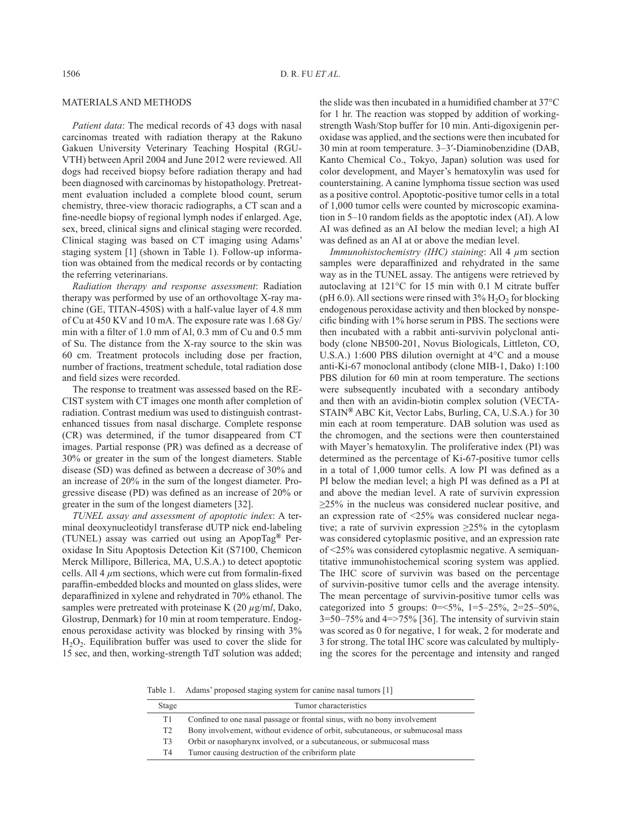### MATERIALS AND METHODS

*Patient data*: The medical records of 43 dogs with nasal carcinomas treated with radiation therapy at the Rakuno Gakuen University Veterinary Teaching Hospital (RGU-VTH) between April 2004 and June 2012 were reviewed. All dogs had received biopsy before radiation therapy and had been diagnosed with carcinomas by histopathology. Pretreatment evaluation included a complete blood count, serum chemistry, three-view thoracic radiographs, a CT scan and a fine-needle biopsy of regional lymph nodes if enlarged. Age, sex, breed, clinical signs and clinical staging were recorded. Clinical staging was based on CT imaging using Adams' staging system [[1\]](#page-6-0) (shown in Table 1). Follow-up information was obtained from the medical records or by contacting the referring veterinarians.

*Radiation therapy and response assessment*: Radiation therapy was performed by use of an orthovoltage X-ray machine (GE, TITAN-450S) with a half-value layer of 4.8 mm of Cu at 450 KV and 10 mA. The exposure rate was 1.68 Gy/ min with a filter of 1.0 mm of Al, 0.3 mm of Cu and 0.5 mm of Su. The distance from the X-ray source to the skin was 60 cm. Treatment protocols including dose per fraction, number of fractions, treatment schedule, total radiation dose and field sizes were recorded.

The response to treatment was assessed based on the RE-CIST system with CT images one month after completion of radiation. Contrast medium was used to distinguish contrastenhanced tissues from nasal discharge. Complete response (CR) was determined, if the tumor disappeared from CT images. Partial response (PR) was defined as a decrease of 30% or greater in the sum of the longest diameters. Stable disease (SD) was defined as between a decrease of 30% and an increase of 20% in the sum of the longest diameter. Progressive disease (PD) was defined as an increase of 20% or greater in the sum of the longest diameters [[32](#page-7-11)].

*TUNEL assay and assessment of apoptotic index*: A terminal deoxynucleotidyl transferase dUTP nick end-labeling (TUNEL) assay was carried out using an ApopTag**®** Peroxidase In Situ Apoptosis Detection Kit (S7100, Chemicon Merck Millipore, Billerica, MA, U.S.A.) to detect apoptotic cells. All 4 *µ*m sections, which were cut from formalin-fixed paraffin-embedded blocks and mounted on glass slides, were deparaffinized in xylene and rehydrated in 70% ethanol. The samples were pretreated with proteinase K  $(20 \mu g/ml, Dako,$ Glostrup, Denmark) for 10 min at room temperature. Endogenous peroxidase activity was blocked by rinsing with 3%  $H<sub>2</sub>O<sub>2</sub>$ . Equilibration buffer was used to cover the slide for 15 sec, and then, working-strength TdT solution was added; the slide was then incubated in a humidified chamber at 37°C for 1 hr. The reaction was stopped by addition of workingstrength Wash/Stop buffer for 10 min. Anti-digoxigenin peroxidase was applied, and the sections were then incubated for 30 min at room temperature. 3–3′-Diaminobenzidine (DAB, Kanto Chemical Co., Tokyo, Japan) solution was used for color development, and Mayer's hematoxylin was used for counterstaining. A canine lymphoma tissue section was used as a positive control. Apoptotic-positive tumor cells in a total of 1,000 tumor cells were counted by microscopic examination in 5–10 random fields as the apoptotic index (AI). A low AI was defined as an AI below the median level; a high AI was defined as an AI at or above the median level.

*Immunohistochemistry (IHC) staining*: All 4 *µ*m section samples were deparaffinized and rehydrated in the same way as in the TUNEL assay. The antigens were retrieved by autoclaving at 121°C for 15 min with 0.1 M citrate buffer (pH 6.0). All sections were rinsed with  $3\%$  H<sub>2</sub>O<sub>2</sub> for blocking endogenous peroxidase activity and then blocked by nonspecific binding with 1% horse serum in PBS. The sections were then incubated with a rabbit anti-survivin polyclonal antibody (clone NB500-201, Novus Biologicals, Littleton, CO, U.S.A.) 1:600 PBS dilution overnight at 4°C and a mouse anti-Ki-67 monoclonal antibody (clone MIB-1, Dako) 1:100 PBS dilution for 60 min at room temperature. The sections were subsequently incubated with a secondary antibody and then with an avidin-biotin complex solution (VECTA-STAIN**®** ABC Kit, Vector Labs, Burling, CA, U.S.A.) for 30 min each at room temperature. DAB solution was used as the chromogen, and the sections were then counterstained with Mayer's hematoxylin. The proliferative index (PI) was determined as the percentage of Ki-67-positive tumor cells in a total of 1,000 tumor cells. A low PI was defined as a PI below the median level; a high PI was defined as a PI at and above the median level. A rate of survivin expression ≥25% in the nucleus was considered nuclear positive, and an expression rate of <25% was considered nuclear negative; a rate of survivin expression ≥25% in the cytoplasm was considered cytoplasmic positive, and an expression rate of <25% was considered cytoplasmic negative. A semiquantitative immunohistochemical scoring system was applied. The IHC score of survivin was based on the percentage of survivin-positive tumor cells and the average intensity. The mean percentage of survivin-positive tumor cells was categorized into 5 groups:  $0 = 5\%$ ,  $1 = 5 - 25\%$ ,  $2 = 25 - 50\%$ ,  $3=50-75\%$  and  $4=275\%$  [[36](#page-7-12)]. The intensity of survivin stain was scored as 0 for negative, 1 for weak, 2 for moderate and 3 for strong. The total IHC score was calculated by multiplying the scores for the percentage and intensity and ranged

Table 1. Adams' proposed staging system for canine nasal tumors [\[1](#page-6-0)]

| Stage          | Tumor characteristics                                                         |
|----------------|-------------------------------------------------------------------------------|
| T1.            | Confined to one nasal passage or frontal sinus, with no bony involvement      |
| T <sub>2</sub> | Bony involvement, without evidence of orbit, subcutaneous, or submucosal mass |
| T <sub>3</sub> | Orbit or nasopharynx involved, or a subcutaneous, or submucosal mass          |
| T4             | Tumor causing destruction of the cribriform plate                             |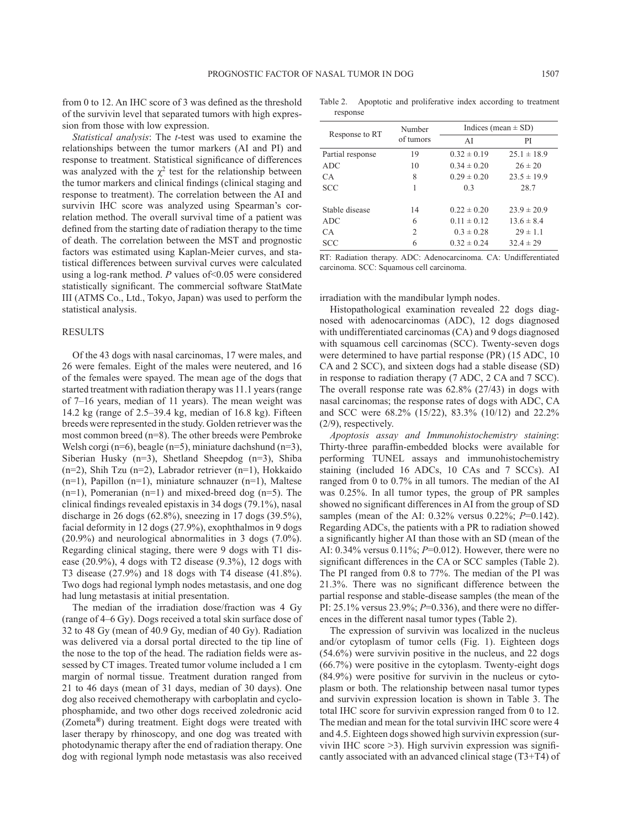from 0 to 12. An IHC score of 3 was defined as the threshold of the survivin level that separated tumors with high expression from those with low expression.

*Statistical analysis*: The *t*-test was used to examine the relationships between the tumor markers (AI and PI) and response to treatment. Statistical significance of differences was analyzed with the  $\chi^2$  test for the relationship between the tumor markers and clinical findings (clinical staging and response to treatment). The correlation between the AI and survivin IHC score was analyzed using Spearman's correlation method. The overall survival time of a patient was defined from the starting date of radiation therapy to the time of death. The correlation between the MST and prognostic factors was estimated using Kaplan-Meier curves, and statistical differences between survival curves were calculated using a log-rank method. *P* values of < 0.05 were considered statistically significant. The commercial software StatMate III (ATMS Co., Ltd., Tokyo, Japan) was used to perform the statistical analysis.

#### **RESULTS**

Of the 43 dogs with nasal carcinomas, 17 were males, and 26 were females. Eight of the males were neutered, and 16 of the females were spayed. The mean age of the dogs that started treatment with radiation therapy was 11.1 years (range of 7–16 years, median of 11 years). The mean weight was 14.2 kg (range of 2.5–39.4 kg, median of 16.8 kg). Fifteen breeds were represented in the study. Golden retriever was the most common breed (n=8). The other breeds were Pembroke Welsh corgi (n=6), beagle (n=5), miniature dachshund (n=3), Siberian Husky (n=3), Shetland Sheepdog (n=3), Shiba (n=2), Shih Tzu (n=2), Labrador retriever (n=1), Hokkaido (n=1), Papillon (n=1), miniature schnauzer (n=1), Maltese  $(n=1)$ , Pomeranian  $(n=1)$  and mixed-breed dog  $(n=5)$ . The clinical findings revealed epistaxis in 34 dogs (79.1%), nasal discharge in 26 dogs (62.8%), sneezing in 17 dogs (39.5%), facial deformity in 12 dogs (27.9%), exophthalmos in 9 dogs (20.9%) and neurological abnormalities in 3 dogs (7.0%). Regarding clinical staging, there were 9 dogs with T1 disease  $(20.9\%)$ , 4 dogs with T2 disease  $(9.3\%)$ , 12 dogs with T3 disease (27.9%) and 18 dogs with T4 disease (41.8%). Two dogs had regional lymph nodes metastasis, and one dog had lung metastasis at initial presentation.

The median of the irradiation dose/fraction was 4 Gy (range of 4–6 Gy). Dogs received a total skin surface dose of 32 to 48 Gy (mean of 40.9 Gy, median of 40 Gy). Radiation was delivered via a dorsal portal directed to the tip line of the nose to the top of the head. The radiation fields were assessed by CT images. Treated tumor volume included a 1 cm margin of normal tissue. Treatment duration ranged from 21 to 46 days (mean of 31 days, median of 30 days). One dog also received chemotherapy with carboplatin and cyclophosphamide, and two other dogs received zoledronic acid (Zometa**®**) during treatment. Eight dogs were treated with laser therapy by rhinoscopy, and one dog was treated with photodynamic therapy after the end of radiation therapy. One dog with regional lymph node metastasis was also received

Table 2. Apoptotic and proliferative index according to treatment response

| Response to RT   | Number         | Indices (mean $\pm$ SD) |                 |  |
|------------------|----------------|-------------------------|-----------------|--|
|                  | of tumors      | PI<br>ΑI                |                 |  |
| Partial response | 19             | $0.32 \pm 0.19$         | $25.1 \pm 18.9$ |  |
| ADC.             | 10             | $0.34 \pm 0.20$         | $26 \pm 20$     |  |
| CА               | 8              | $0.29 \pm 0.20$         | $23.5 \pm 19.9$ |  |
| SCC              | 1              | 0.3                     | 28.7            |  |
| Stable disease   | 14             | $0.22 \pm 0.20$         | $23.9 \pm 20.9$ |  |
| ADC.             | 6              | $0.11 \pm 0.12$         | $13.6 \pm 8.4$  |  |
| CА               | $\overline{c}$ | $0.3 \pm 0.28$          | $29 \pm 1.1$    |  |
| <b>SCC</b>       | 6              | $0.32 \pm 0.24$         | $32.4 \pm 29$   |  |

RT: Radiation therapy. ADC: Adenocarcinoma. CA: Undifferentiated carcinoma. SCC: Squamous cell carcinoma.

#### irradiation with the mandibular lymph nodes.

Histopathological examination revealed 22 dogs diagnosed with adenocarcinomas (ADC), 12 dogs diagnosed with undifferentiated carcinomas (CA) and 9 dogs diagnosed with squamous cell carcinomas (SCC). Twenty-seven dogs were determined to have partial response (PR) (15 ADC, 10 CA and 2 SCC), and sixteen dogs had a stable disease (SD) in response to radiation therapy (7 ADC, 2 CA and 7 SCC). The overall response rate was 62.8% (27/43) in dogs with nasal carcinomas; the response rates of dogs with ADC, CA and SCC were 68.2% (15/22), 83.3% (10/12) and 22.2% (2/9), respectively.

*Apoptosis assay and Immunohistochemistry staining*: Thirty-three paraffin-embedded blocks were available for performing TUNEL assays and immunohistochemistry staining (included 16 ADCs, 10 CAs and 7 SCCs). AI ranged from 0 to 0.7% in all tumors. The median of the AI was 0.25%. In all tumor types, the group of PR samples showed no significant differences in AI from the group of SD samples (mean of the AI: 0.32% versus 0.22%; *P*=0.142). Regarding ADCs, the patients with a PR to radiation showed a significantly higher AI than those with an SD (mean of the AI: 0.34% versus 0.11%; *P*=0.012). However, there were no significant differences in the CA or SCC samples (Table 2). The PI ranged from 0.8 to 77%. The median of the PI was 21.3%. There was no significant difference between the partial response and stable-disease samples (the mean of the PI: 25.1% versus 23.9%; *P*=0.336), and there were no differences in the different nasal tumor types (Table 2).

The expression of survivin was localized in the nucleus and/or cytoplasm of tumor cells (Fig. 1). Eighteen dogs (54.6%) were survivin positive in the nucleus, and 22 dogs (66.7%) were positive in the cytoplasm. Twenty-eight dogs (84.9%) were positive for survivin in the nucleus or cytoplasm or both. The relationship between nasal tumor types and survivin expression location is shown in Table 3. The total IHC score for survivin expression ranged from 0 to 12. The median and mean for the total survivin IHC score were 4 and 4.5. Eighteen dogs showed high survivin expression (survivin IHC score >3). High survivin expression was significantly associated with an advanced clinical stage (T3+T4) of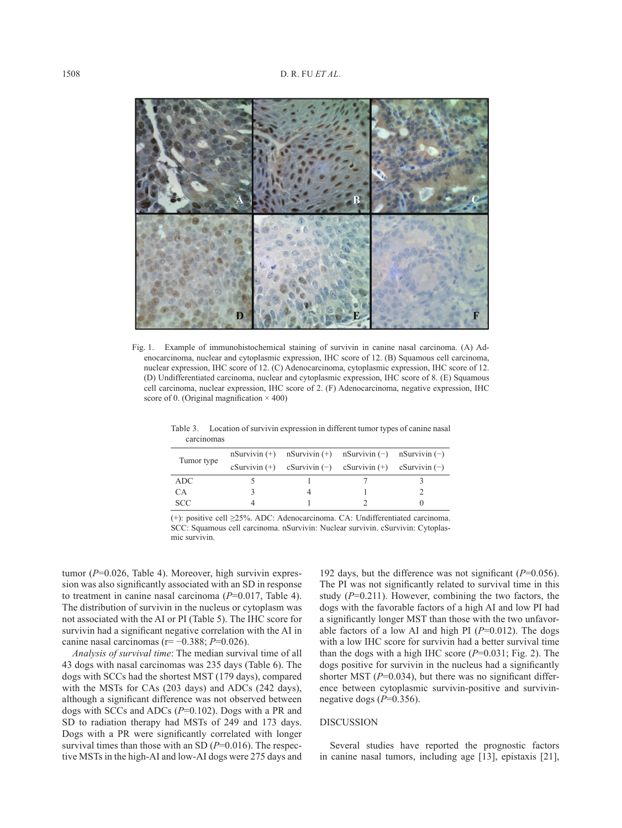

Fig. 1. Example of immunohistochemical staining of survivin in canine nasal carcinoma. (A) Adenocarcinoma, nuclear and cytoplasmic expression, IHC score of 12. (B) Squamous cell carcinoma, nuclear expression, IHC score of 12. (C) Adenocarcinoma, cytoplasmic expression, IHC score of 12. (D) Undifferentiated carcinoma, nuclear and cytoplasmic expression, IHC score of 8. (E) Squamous cell carcinoma, nuclear expression, IHC score of 2. (F) Adenocarcinoma, negative expression, IHC score of 0. (Original magnification  $\times$  400)

| Tumor type | nSurvivin $(+)$ nSurvivin $(+)$ nSurvivin $(-)$ nSurvivin $(-)$<br>$c$ Survivin (+) $c$ Survivin (-) $c$ Survivin (+) $c$ Survivin (-) |  |
|------------|----------------------------------------------------------------------------------------------------------------------------------------|--|
| ADC.       |                                                                                                                                        |  |
| CA.        |                                                                                                                                        |  |
| <b>SCC</b> |                                                                                                                                        |  |

Table 3. Location of survivin expression in different tumor types of canine nasal carcinomas

(+): positive cell ≥25%. ADC: Adenocarcinoma. CA: Undifferentiated carcinoma. SCC: Squamous cell carcinoma. nSurvivin: Nuclear survivin. cSurvivin: Cytoplasmic survivin.

tumor ( $P=0.026$ , Table 4). Moreover, high survivin expression was also significantly associated with an SD in response to treatment in canine nasal carcinoma (*P*=0.017, Table 4). The distribution of survivin in the nucleus or cytoplasm was not associated with the AI or PI (Table 5). The IHC score for survivin had a significant negative correlation with the AI in canine nasal carcinomas (r= −0.388; *P*=0.026).

*Analysis of survival time*: The median survival time of all 43 dogs with nasal carcinomas was 235 days (Table 6). The dogs with SCCs had the shortest MST (179 days), compared with the MSTs for CAs (203 days) and ADCs (242 days), although a significant difference was not observed between dogs with SCCs and ADCs (*P*=0.102). Dogs with a PR and SD to radiation therapy had MSTs of 249 and 173 days. Dogs with a PR were significantly correlated with longer survival times than those with an SD ( $P=0.016$ ). The respective MSTs in the high-AI and low-AI dogs were 275 days and

192 days, but the difference was not significant (*P*=0.056). The PI was not significantly related to survival time in this study  $(P=0.211)$ . However, combining the two factors, the dogs with the favorable factors of a high AI and low PI had a significantly longer MST than those with the two unfavorable factors of a low AI and high PI (*P*=0.012). The dogs with a low IHC score for survivin had a better survival time than the dogs with a high IHC score (*P*=0.031; Fig. 2). The dogs positive for survivin in the nucleus had a significantly shorter MST ( $P=0.034$ ), but there was no significant difference between cytoplasmic survivin-positive and survivinnegative dogs (*P*=0.356).

#### DISCUSSION

Several studies have reported the prognostic factors in canine nasal tumors, including age [[13](#page-6-9)], epistaxis [[21](#page-7-13)],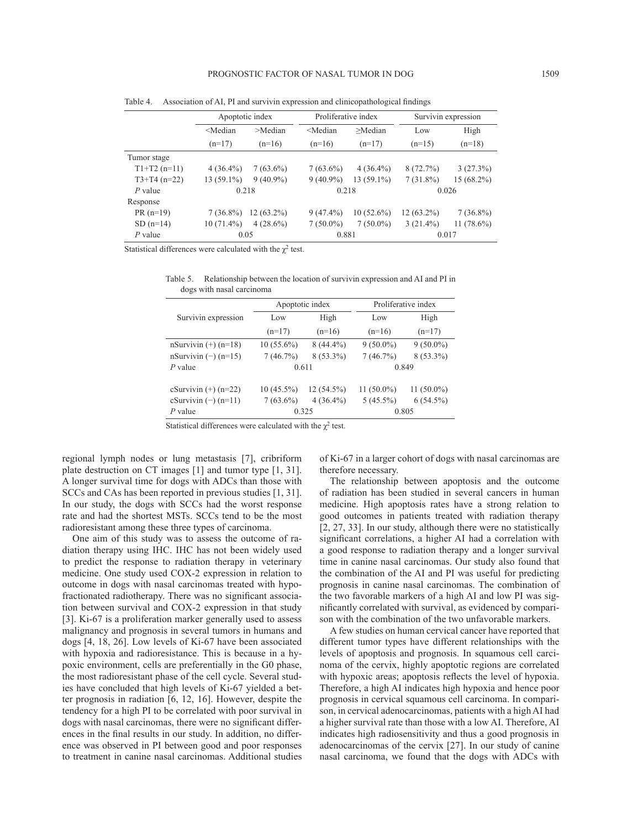|                | Apoptotic index |              | Proliferative index |              | Survivin expression |              |  |
|----------------|-----------------|--------------|---------------------|--------------|---------------------|--------------|--|
|                | $<$ Median      | >Median      | $<$ Median          | $>$ Median   | Low                 | High         |  |
|                | $(n=17)$        | $(n=16)$     | $(n=16)$            | $(n=17)$     | $(n=15)$            | $(n=18)$     |  |
| Tumor stage    |                 |              |                     |              |                     |              |  |
| $T1+T2(n=11)$  | $4(36.4\%)$     | $7(63.6\%)$  | $7(63.6\%)$         | $4(36.4\%)$  | 8(72.7%)            | 3(27.3%)     |  |
| $T3+T4$ (n=22) | $13(59.1\%)$    | $9(40.9\%)$  | $9(40.9\%)$         | $13(59.1\%)$ | $7(31.8\%)$         | 15 (68.2%)   |  |
| $P$ value      | 0.218           |              | 0.218               |              |                     | 0.026        |  |
| Response       |                 |              |                     |              |                     |              |  |
| $PR(n=19)$     | $7(36.8\%)$     | $12(63.2\%)$ | $9(47.4\%)$         | $10(52.6\%)$ | $12(63.2\%)$        | $7(36.8\%)$  |  |
| $SD(n=14)$     | $10(71.4\%)$    | $4(28.6\%)$  | $7(50.0\%)$         | $7(50.0\%)$  | $3(21.4\%)$         | $11(78.6\%)$ |  |
| $P$ value      | 0.05            |              | 0.881               |              |                     | 0.017        |  |

Table 4. Association of AI, PI and survivin expression and clinicopathological findings

Statistical differences were calculated with the  $\chi^2$  test.

Table 5. Relationship between the location of survivin expression and AI and PI in dogs with nasal carcinoma

|                        |              | Apoptotic index | Proliferative index |              |  |
|------------------------|--------------|-----------------|---------------------|--------------|--|
| Survivin expression    | Low          | High            | Low                 | High         |  |
|                        | $(n=17)$     | $(n=16)$        | $(n=16)$            | $(n=17)$     |  |
| nSurvivin $(+)$ (n=18) | $10(55.6\%)$ | $8(44.4\%)$     | $9(50.0\%)$         | $9(50.0\%)$  |  |
| nSurvivin $(-)$ (n=15) | 7(46.7%)     | $8(53.3\%)$     | 7(46.7%)            | $8(53.3\%)$  |  |
| $P$ value              | 0.611        |                 | 0.849               |              |  |
| cSurvivin $(+)$ (n=22) | $10(45.5\%)$ | $12(54.5\%)$    | $11(50.0\%)$        | $11(50.0\%)$ |  |
| cSurvivin $(-)$ (n=11) | $7(63.6\%)$  | $4(36.4\%)$     | $5(45.5\%)$         | $6(54.5\%)$  |  |
| $P$ value              | 0.325        |                 | 0.805               |              |  |

Statistical differences were calculated with the  $\chi^2$  test.

regional lymph nodes or lung metastasis [[7](#page-6-1)], cribriform plate destruction on CT images [[1](#page-6-0)] and tumor type [[1, 31\]](#page-6-0). A longer survival time for dogs with ADCs than those with SCCs and CAs has been reported in previous studies [[1, 31\]](#page-6-0). In our study, the dogs with SCCs had the worst response rate and had the shortest MSTs. SCCs tend to be the most radioresistant among these three types of carcinoma.

One aim of this study was to assess the outcome of radiation therapy using IHC. IHC has not been widely used to predict the response to radiation therapy in veterinary medicine. One study used COX-2 expression in relation to outcome in dogs with nasal carcinomas treated with hypofractionated radiotherapy. There was no significant association between survival and COX-2 expression in that study [[3](#page-6-10)]. Ki-67 is a proliferation marker generally used to assess malignancy and prognosis in several tumors in humans and dogs [[4, 18, 26](#page-6-8)]. Low levels of Ki-67 have been associated with hypoxia and radioresistance. This is because in a hypoxic environment, cells are preferentially in the G0 phase, the most radioresistant phase of the cell cycle. Several studies have concluded that high levels of Ki-67 yielded a better prognosis in radiation [[6, 12, 16\]](#page-6-7). However, despite the tendency for a high PI to be correlated with poor survival in dogs with nasal carcinomas, there were no significant differences in the final results in our study. In addition, no difference was observed in PI between good and poor responses to treatment in canine nasal carcinomas. Additional studies of Ki-67 in a larger cohort of dogs with nasal carcinomas are therefore necessary.

The relationship between apoptosis and the outcome of radiation has been studied in several cancers in human medicine. High apoptosis rates have a strong relation to good outcomes in patients treated with radiation therapy [\[2, 27, 33\]](#page-6-2). In our study, although there were no statistically significant correlations, a higher AI had a correlation with a good response to radiation therapy and a longer survival time in canine nasal carcinomas. Our study also found that the combination of the AI and PI was useful for predicting prognosis in canine nasal carcinomas. The combination of the two favorable markers of a high AI and low PI was significantly correlated with survival, as evidenced by comparison with the combination of the two unfavorable markers.

A few studies on human cervical cancer have reported that different tumor types have different relationships with the levels of apoptosis and prognosis. In squamous cell carcinoma of the cervix, highly apoptotic regions are correlated with hypoxic areas; apoptosis reflects the level of hypoxia. Therefore, a high AI indicates high hypoxia and hence poor prognosis in cervical squamous cell carcinoma. In comparison, in cervical adenocarcinomas, patients with a high AI had a higher survival rate than those with a low AI. Therefore, AI indicates high radiosensitivity and thus a good prognosis in adenocarcinomas of the cervix [\[27\]](#page-7-4). In our study of canine nasal carcinoma, we found that the dogs with ADCs with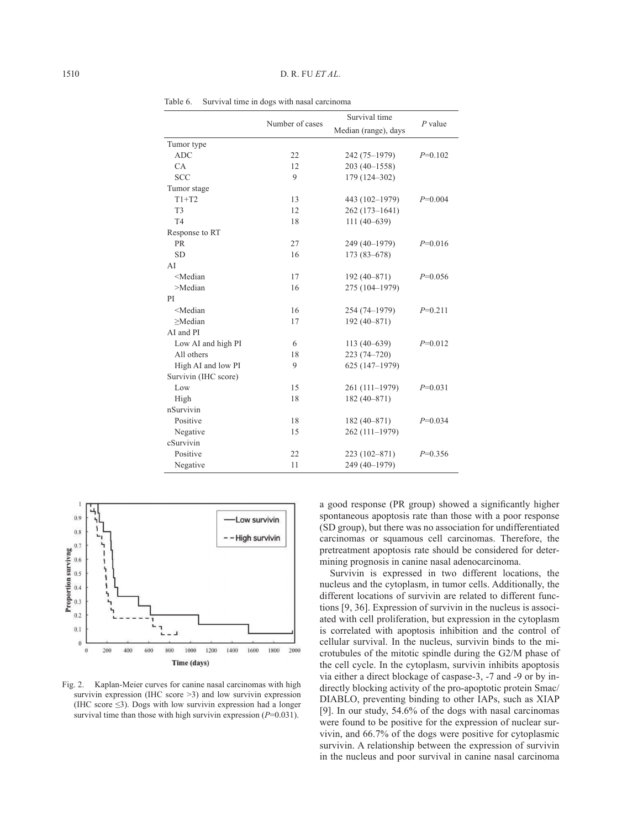|                                                                                                      |                 | Survival time        | $P$ value |
|------------------------------------------------------------------------------------------------------|-----------------|----------------------|-----------|
|                                                                                                      | Number of cases | Median (range), days |           |
| Tumor type                                                                                           |                 |                      |           |
| <b>ADC</b>                                                                                           | 22              | 242 (75-1979)        | $P=0.102$ |
| CA                                                                                                   | 12              | $203(40-1558)$       |           |
| <b>SCC</b>                                                                                           | 9               | 179 (124-302)        |           |
| Tumor stage                                                                                          |                 |                      |           |
| $T1+T2$                                                                                              | 13              | 443 (102-1979)       | $P=0.004$ |
| T <sub>3</sub>                                                                                       | 12              | 262 (173-1641)       |           |
| T <sub>4</sub>                                                                                       | 18              | $111(40-639)$        |           |
| Response to RT                                                                                       |                 |                      |           |
| <b>PR</b>                                                                                            | 27              | 249 (40-1979)        | $P=0.016$ |
| <b>SD</b>                                                                                            | 16              | $173(83 - 678)$      |           |
| AI                                                                                                   |                 |                      |           |
| <median< td=""><td>17</td><td><math>192(40 - 871)</math></td><td><math>P=0.056</math></td></median<> | 17              | $192(40 - 871)$      | $P=0.056$ |
| >Median                                                                                              | 16              | 275 (104-1979)       |           |
| PI                                                                                                   |                 |                      |           |
| <median< td=""><td>16</td><td>254 (74-1979)</td><td><math>P=0.211</math></td></median<>              | 16              | 254 (74-1979)        | $P=0.211$ |
| >Median                                                                                              | 17              | $192(40 - 871)$      |           |
| AI and PI                                                                                            |                 |                      |           |
| Low AI and high PI                                                                                   | 6               | $113(40-639)$        | $P=0.012$ |
| All others                                                                                           | 18              | $223(74 - 720)$      |           |
| High AI and low PI                                                                                   | 9               | 625 (147-1979)       |           |
| Survivin (IHC score)                                                                                 |                 |                      |           |
| Low                                                                                                  | 15              | 261 (111-1979)       | $P=0.031$ |
| High                                                                                                 | 18              | $182(40 - 871)$      |           |
| nSurvivin                                                                                            |                 |                      |           |
| Positive                                                                                             | 18              | $182(40-871)$        | $P=0.034$ |
| Negative                                                                                             | 15              | 262 (111-1979)       |           |
| cSurvivin                                                                                            |                 |                      |           |
| Positive                                                                                             | 22              | 223 (102-871)        | $P=0.356$ |
| Negative                                                                                             | 11              | 249 (40-1979)        |           |

Table 6. Survival time in dogs with nasal carcinoma



Fig. 2. Kaplan-Meier curves for canine nasal carcinomas with high survivin expression (IHC score  $>3$ ) and low survivin expression (IHC score  $\leq$ 3). Dogs with low survivin expression had a longer survival time than those with high survivin expression ( $P=0.031$ ).

a good response (PR group) showed a significantly higher spontaneous apoptosis rate than those with a poor response (SD group), but there was no association for undifferentiated carcinomas or squamous cell carcinomas. Therefore, the pretreatment apoptosis rate should be considered for determining prognosis in canine nasal adenocarcinoma.

Survivin is expressed in two different locations, the nucleus and the cytoplasm, in tumor cells. Additionally, the different locations of survivin are related to different functions [\[9, 36](#page-6-3)]. Expression of survivin in the nucleus is associated with cell proliferation, but expression in the cytoplasm is correlated with apoptosis inhibition and the control of cellular survival. In the nucleus, survivin binds to the microtubules of the mitotic spindle during the G2/M phase of the cell cycle. In the cytoplasm, survivin inhibits apoptosis via either a direct blockage of caspase-3, -7 and -9 or by indirectly blocking activity of the pro-apoptotic protein Smac/ DIABLO, preventing binding to other IAPs, such as XIAP [\[9](#page-6-3)]. In our study, 54.6% of the dogs with nasal carcinomas were found to be positive for the expression of nuclear survivin, and 66.7% of the dogs were positive for cytoplasmic survivin. A relationship between the expression of survivin in the nucleus and poor survival in canine nasal carcinoma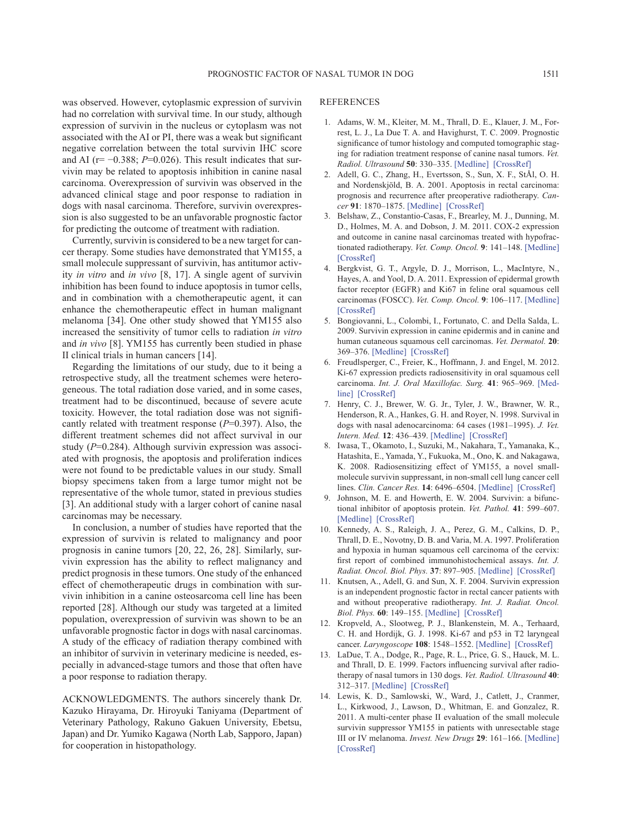was observed. However, cytoplasmic expression of survivin had no correlation with survival time. In our study, although expression of survivin in the nucleus or cytoplasm was not associated with the AI or PI, there was a weak but significant negative correlation between the total survivin IHC score and AI ( $r=-0.388$ ;  $P=0.026$ ). This result indicates that survivin may be related to apoptosis inhibition in canine nasal carcinoma. Overexpression of survivin was observed in the advanced clinical stage and poor response to radiation in dogs with nasal carcinoma. Therefore, survivin overexpression is also suggested to be an unfavorable prognostic factor for predicting the outcome of treatment with radiation.

Currently, survivin is considered to be a new target for cancer therapy. Some studies have demonstrated that YM155, a small molecule suppressant of survivin, has antitumor activity *in vitro* and *in vivo* [[8, 17\]](#page-7-14). A single agent of survivin inhibition has been found to induce apoptosis in tumor cells, and in combination with a chemotherapeutic agent, it can enhance the chemotherapeutic effect in human malignant melanoma [[34](#page-7-15)]. One other study showed that YM155 also increased the sensitivity of tumor cells to radiation *in vitro* and *in vivo* [\[8\]](#page-6-11). YM155 has currently been studied in phase II clinical trials in human cancers [[14](#page-6-12)].

Regarding the limitations of our study, due to it being a retrospective study, all the treatment schemes were heterogeneous. The total radiation dose varied, and in some cases, treatment had to be discontinued, because of severe acute toxicity. However, the total radiation dose was not significantly related with treatment response (*P*=0.397). Also, the different treatment schemes did not affect survival in our study (*P*=0.284). Although survivin expression was associated with prognosis, the apoptosis and proliferation indices were not found to be predictable values in our study. Small biopsy specimens taken from a large tumor might not be representative of the whole tumor, stated in previous studies [[3](#page-6-10)]. An additional study with a larger cohort of canine nasal carcinomas may be necessary.

In conclusion, a number of studies have reported that the expression of survivin is related to malignancy and poor prognosis in canine tumors [[20, 22, 26, 28](#page-7-8)]. Similarly, survivin expression has the ability to reflect malignancy and predict prognosis in these tumors. One study of the enhanced effect of chemotherapeutic drugs in combination with survivin inhibition in a canine osteosarcoma cell line has been reported [[28](#page-7-9)]. Although our study was targeted at a limited population, overexpression of survivin was shown to be an unfavorable prognostic factor in dogs with nasal carcinomas. A study of the efficacy of radiation therapy combined with an inhibitor of survivin in veterinary medicine is needed, especially in advanced-stage tumors and those that often have a poor response to radiation therapy.

ACKNOWLEDGMENTS. The authors sincerely thank Dr. Kazuko Hirayama, Dr. Hiroyuki Taniyama (Department of Veterinary Pathology, Rakuno Gakuen University, Ebetsu, Japan) and Dr. Yumiko Kagawa (North Lab, Sapporo, Japan) for cooperation in histopathology.

#### REFERENCES

- <span id="page-6-0"></span>1. Adams, W. M., Kleiter, M. M., Thrall, D. E., Klauer, J. M., Forrest, L. J., La Due T. A. and Havighurst, T. C. 2009. Prognostic significance of tumor histology and computed tomographic staging for radiation treatment response of canine nasal tumors. *Vet. Radiol. Ultrasound* **50**: 330–335. [\[Medline\]](http://www.ncbi.nlm.nih.gov/pubmed/19507402?dopt=Abstract) [\[CrossRef\]](http://dx.doi.org/10.1111/j.1740-8261.2009.01545.x)
- <span id="page-6-2"></span>2. Adell, G. C., Zhang, H., Evertsson, S., Sun, X. F., StÅl, O. H. and Nordenskjöld, B. A. 2001. Apoptosis in rectal carcinoma: prognosis and recurrence after preoperative radiotherapy. *Cancer* **91**: 1870–1875. [\[Medline\]](http://www.ncbi.nlm.nih.gov/pubmed/11346868?dopt=Abstract) [\[CrossRef\]](http://dx.doi.org/10.1002/1097-0142(20010515)91:10<1870::AID-CNCR1208>3.0.CO;2-1)
- <span id="page-6-10"></span>3. Belshaw, Z., Constantio-Casas, F., Brearley, M. J., Dunning, M. D., Holmes, M. A. and Dobson, J. M. 2011. COX-2 expression and outcome in canine nasal carcinomas treated with hypofractionated radiotherapy. *Vet. Comp. Oncol.* **9**: 141–148. [\[Medline\]](http://www.ncbi.nlm.nih.gov/pubmed/21569199?dopt=Abstract) [\[CrossRef\]](http://dx.doi.org/10.1111/j.1476-5829.2010.00243.x)
- <span id="page-6-8"></span>4. Bergkvist, G. T., Argyle, D. J., Morrison, L., MacIntyre, N., Hayes, A. and Yool, D. A. 2011. Expression of epidermal growth factor receptor (EGFR) and Ki67 in feline oral squamous cell carcinomas (FOSCC). *Vet. Comp. Oncol.* **9**: 106–117. [\[Medline\]](http://www.ncbi.nlm.nih.gov/pubmed/21569196?dopt=Abstract) [\[CrossRef\]](http://dx.doi.org/10.1111/j.1476-5829.2010.00239.x)
- <span id="page-6-5"></span>5. Bongiovanni, L., Colombi, I., Fortunato, C. and Della Salda, L. 2009. Survivin expression in canine epidermis and in canine and human cutaneous squamous cell carcinomas. *Vet. Dermatol.* **20**: 369–376. [\[Medline\]](http://www.ncbi.nlm.nih.gov/pubmed/20178473?dopt=Abstract) [\[CrossRef\]](http://dx.doi.org/10.1111/j.1365-3164.2009.00822.x)
- <span id="page-6-7"></span>6. Freudlsperger, C., Freier, K., Hoffmann, J. and Engel, M. 2012. Ki-67 expression predicts radiosensitivity in oral squamous cell carcinoma. *Int. J. Oral Maxillofac. Surg.* **41**: 965–969. [\[Med](http://www.ncbi.nlm.nih.gov/pubmed/22591716?dopt=Abstract)[line\]](http://www.ncbi.nlm.nih.gov/pubmed/22591716?dopt=Abstract) [\[CrossRef\]](http://dx.doi.org/10.1016/j.ijom.2012.04.014)
- <span id="page-6-1"></span>7. Henry, C. J., Brewer, W. G. Jr., Tyler, J. W., Brawner, W. R., Henderson, R. A., Hankes, G. H. and Royer, N. 1998. Survival in dogs with nasal adenocarcinoma: 64 cases (1981–1995). *J. Vet. Intern. Med.* **12**: 436–439. [\[Medline\]](http://www.ncbi.nlm.nih.gov/pubmed/9857336?dopt=Abstract) [\[CrossRef\]](http://dx.doi.org/10.1111/j.1939-1676.1998.tb02147.x)
- <span id="page-6-11"></span>8. Iwasa, T., Okamoto, I., Suzuki, M., Nakahara, T., Yamanaka, K., Hatashita, E., Yamada, Y., Fukuoka, M., Ono, K. and Nakagawa, K. 2008. Radiosensitizing effect of YM155, a novel smallmolecule survivin suppressant, in non-small cell lung cancer cell lines. *Clin. Cancer Res.* **14**: 6496–6504. [\[Medline\]](http://www.ncbi.nlm.nih.gov/pubmed/18927289?dopt=Abstract) [\[CrossRef\]](http://dx.doi.org/10.1158/1078-0432.CCR-08-0468)
- <span id="page-6-3"></span>9. Johnson, M. E. and Howerth, E. W. 2004. Survivin: a bifunctional inhibitor of apoptosis protein. *Vet. Pathol.* **41**: 599–607. [\[Medline\]](http://www.ncbi.nlm.nih.gov/pubmed/15557069?dopt=Abstract) [\[CrossRef\]](http://dx.doi.org/10.1354/vp.41-6-599)
- <span id="page-6-6"></span>10. Kennedy, A. S., Raleigh, J. A., Perez, G. M., Calkins, D. P., Thrall, D. E., Novotny, D. B. and Varia, M. A. 1997. Proliferation and hypoxia in human squamous cell carcinoma of the cervix: first report of combined immunohistochemical assays. *Int. J. Radiat. Oncol. Biol. Phys.* **37**: 897–905. [\[Medline\]](http://www.ncbi.nlm.nih.gov/pubmed/9128967?dopt=Abstract) [\[CrossRef\]](http://dx.doi.org/10.1016/S0360-3016(96)00539-1)
- <span id="page-6-4"></span>11. Knutsen, A., Adell, G. and Sun, X. F. 2004. Survivin expression is an independent prognostic factor in rectal cancer patients with and without preoperative radiotherapy. *Int. J. Radiat. Oncol. Biol. Phys.* **60**: 149–155. [\[Medline\]](http://www.ncbi.nlm.nih.gov/pubmed/15337550?dopt=Abstract) [\[CrossRef\]](http://dx.doi.org/10.1016/j.ijrobp.2004.02.007)
- 12. Kropveld, A., Slootweg, P. J., Blankenstein, M. A., Terhaard, C. H. and Hordijk, G. J. 1998. Ki-67 and p53 in T2 laryngeal cancer. *Laryngoscope* **108**: 1548–1552. [\[Medline\]](http://www.ncbi.nlm.nih.gov/pubmed/9778299?dopt=Abstract) [\[CrossRef\]](http://dx.doi.org/10.1097/00005537-199810000-00023)
- <span id="page-6-9"></span>13. LaDue, T. A., Dodge, R., Page, R. L., Price, G. S., Hauck, M. L. and Thrall, D. E. 1999. Factors influencing survival after radiotherapy of nasal tumors in 130 dogs. *Vet. Radiol. Ultrasound* **40**: 312–317. [\[Medline\]](http://www.ncbi.nlm.nih.gov/pubmed/10519313?dopt=Abstract) [\[CrossRef\]](http://dx.doi.org/10.1111/j.1740-8261.1999.tb00367.x)
- <span id="page-6-12"></span>14. Lewis, K. D., Samlowski, W., Ward, J., Catlett, J., Cranmer, L., Kirkwood, J., Lawson, D., Whitman, E. and Gonzalez, R. 2011. A multi-center phase II evaluation of the small molecule survivin suppressor YM155 in patients with unresectable stage III or IV melanoma. *Invest. New Drugs* **29**: 161–166. [\[Medline\]](http://www.ncbi.nlm.nih.gov/pubmed/19830389?dopt=Abstract) [\[CrossRef\]](http://dx.doi.org/10.1007/s10637-009-9333-6)